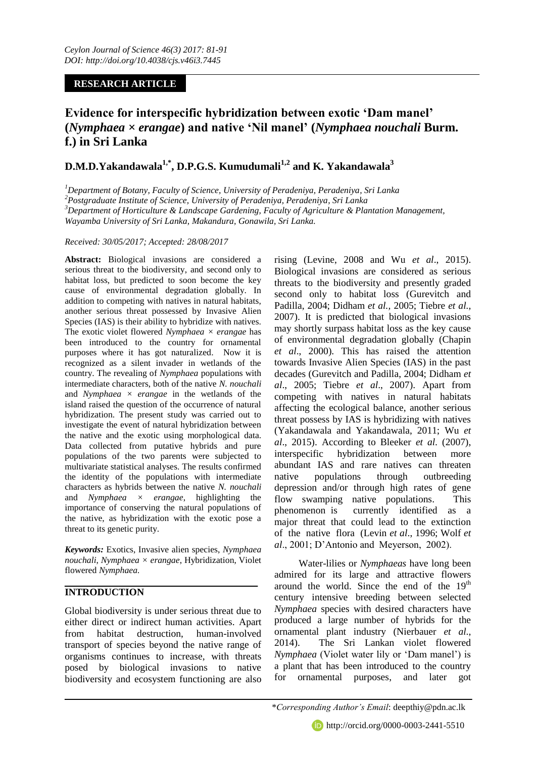# **RESEARCH ARTICLE**

# **Evidence for interspecific hybridization between exotic 'Dam manel' (***Nymphaea × erangae***) and native 'Nil manel' (***Nymphaea nouchali* **Burm. f.) in Sri Lanka**

# **D.M.D.Yakandawala1,\*, D.P.G.S. Kumudumali1,2 and K. Yakandawala<sup>3</sup>**

*<sup>1</sup>Department of Botany, Faculty of Science, University of Peradeniya, Peradeniya, Sri Lanka*

*<sup>2</sup>Postgraduate Institute of Science, University of Peradeniya, Peradeniya, Sri Lanka*

*<sup>3</sup>Department of Horticulture & Landscape Gardening, Faculty of Agriculture & Plantation Management,* 

*Wayamba University of Sri Lanka, Makandura, Gonawila, Sri Lanka.*

#### *Received: 30/05/2017; Accepted: 28/08/2017*

**Abstract:** Biological invasions are considered a serious threat to the biodiversity, and second only to habitat loss, but predicted to soon become the key cause of environmental degradation globally. In addition to competing with natives in natural habitats, another serious threat possessed by Invasive Alien Species (IAS) is their ability to hybridize with natives. The exotic violet flowered *Nymphaea × erangae* has been introduced to the country for ornamental purposes where it has got naturalized. Now it is recognized as a silent invader in wetlands of the country. The revealing of *Nymphaea* populations with intermediate characters, both of the native *N. nouchali* and *Nymphaea × erangae* in the wetlands of the island raised the question of the occurrence of natural hybridization. The present study was carried out to investigate the event of natural hybridization between the native and the exotic using morphological data. Data collected from putative hybrids and pure populations of the two parents were subjected to multivariate statistical analyses. The results confirmed the identity of the populations with intermediate characters as hybrids between the native *N. nouchali* and *Nymphaea × erangae*, highlighting the importance of conserving the natural populations of the native, as hybridization with the exotic pose a threat to its genetic purity.

*Keywords:* Exotics, Invasive alien species, *Nymphaea nouchali*, *Nymphaea × erangae*, Hybridization, Violet flowered *Nymphaea.*

## **INTRODUCTION**

Global biodiversity is under serious threat due to either direct or indirect human activities. Apart from habitat destruction, human-involved transport of species beyond the native range of organisms continues to increase, with threats posed by biological invasions to native biodiversity and ecosystem functioning are also

rising (Levine, 2008 and Wu *et al*., 2015). Biological invasions are considered as serious threats to the biodiversity and presently graded second only to habitat loss (Gurevitch and Padilla, 2004; Didham *et al.,* 2005; Tiebre *et al.,*  2007). It is predicted that biological invasions may shortly surpass habitat loss as the key cause of environmental degradation globally (Chapin *et al*., 2000). This has raised the attention towards Invasive Alien Species (IAS) in the past decades (Gurevitch and Padilla, 2004; Didham *et al*., 2005; Tiebre *et al*., 2007). Apart from competing with natives in natural habitats affecting the ecological balance, another serious threat possess by IAS is hybridizing with natives (Yakandawala and Yakandawala, 2011; Wu *et al*., 2015). According to Bleeker *et al.* (2007), interspecific hybridization between more abundant IAS and rare natives can threaten native populations through outbreeding depression and/or through high rates of gene flow swamping native populations. This phenomenon is currently identified as a major threat that could lead to the extinction of the native flora (Levin *et al*., 1996; Wolf *et al*., 2001; D'Antonio and Meyerson, 2002).

Water-lilies or *Nymphaeas* have long been admired for its large and attractive flowers around the world. Since the end of the  $19<sup>th</sup>$ century intensive breeding between selected *Nymphaea* species with desired characters have produced a large number of hybrids for the ornamental plant industry (Nierbauer *et al*., 2014). The Sri Lankan violet flowered *Nymphaea* (Violet water lily or 'Dam manel') is a plant that has been introduced to the country for ornamental purposes, and later got

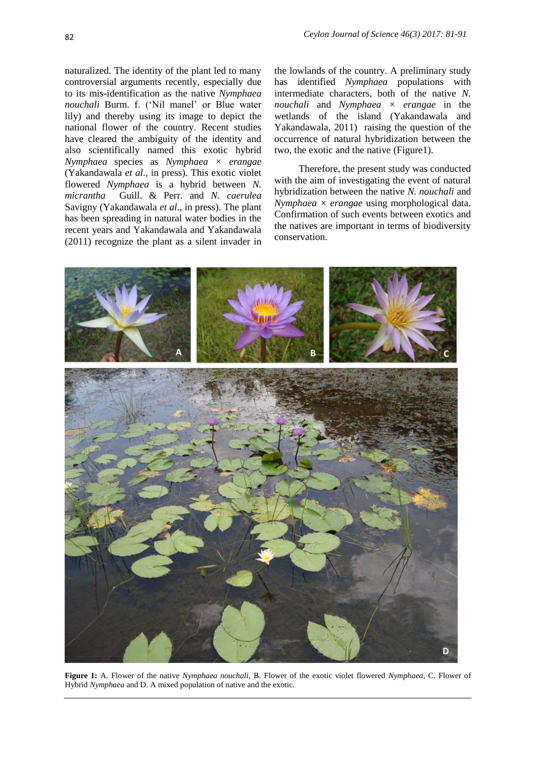naturalized. The identity of the plant led to many controversial arguments recently, especially due to its mis-identification as the native *Nymphaea nouchali* Burm. f. ('Nil manel' or Blue water lily) and thereby using its image to depict the national flower of the country. Recent studies have cleared the ambiguity of the identity and also scientifically named this exotic hybrid *Nymphaea* species as *Nymphaea × erangae* (Yakandawala *et al*., in press). This exotic violet flowered *Nymphaea* is a hybrid between *N. micrantha* Guill. & Perr. and *N. caerulea* Savigny (Yakandawala *et al*., in press). The plant has been spreading in natural water bodies in the recent years and Yakandawala and Yakandawala (2011) recognize the plant as a silent invader in

the lowlands of the country. A preliminary study has identified *Nymphaea* populations with intermediate characters, both of the native *N. nouchali* and *Nymphaea × erangae* in the wetlands of the island (Yakandawala and Yakandawala, 2011) raising the question of the occurrence of natural hybridization between the two, the exotic and the native (Figure1).

Therefore, the present study was conducted with the aim of investigating the event of natural hybridization between the native *N. nouchali* and *Nymphaea × erangae* using morphological data. Confirmation of such events between exotics and the natives are important in terms of biodiversity conservation.



**Figure 1:** A. Flower of the native *Nymphaea nouchali*, B. Flower of the exotic violet flowered *Nymphaea*, C. Flower of Hybrid *Nymphaea* and D. A mixed population of native and the exotic.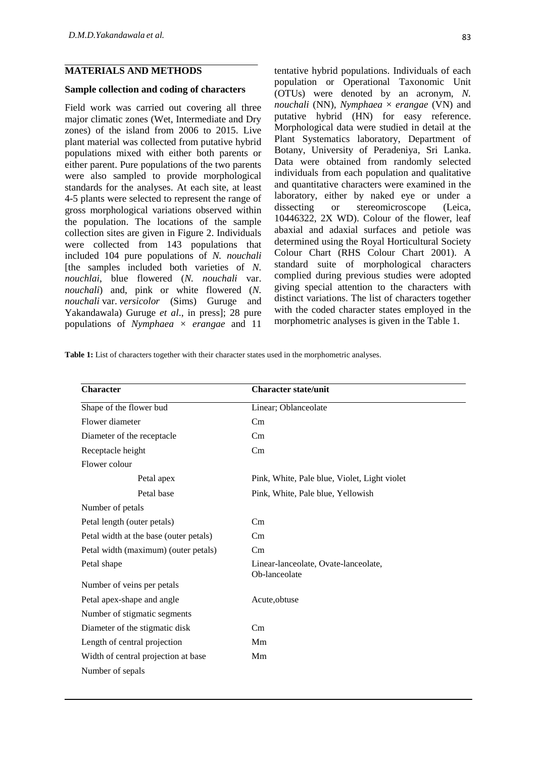#### **MATERIALS AND METHODS**

#### **Sample collection and coding of characters**

Field work was carried out covering all three major climatic zones (Wet, Intermediate and Dry zones) of the island from 2006 to 2015. Live plant material was collected from putative hybrid populations mixed with either both parents or either parent. Pure populations of the two parents were also sampled to provide morphological standards for the analyses. At each site, at least 4-5 plants were selected to represent the range of gross morphological variations observed within the population. The locations of the sample collection sites are given in Figure 2. Individuals were collected from 143 populations that included 104 pure populations of *N. nouchali* [the samples included both varieties of *N. nouchlai*, blue flowered (*N. nouchali* var. *nouchali*) and, pink or white flowered (*N. nouchali* var. *versicolor* (Sims) Guruge and Yakandawala) Guruge *et al*., in press]; 28 pure populations of *Nymphaea × erangae* and 11

tentative hybrid populations. Individuals of each population or Operational Taxonomic Unit (OTUs) were denoted by an acronym, *N. nouchali* (NN), *Nymphaea* × *erangae* (VN) and putative hybrid (HN) for easy reference. Morphological data were studied in detail at the Plant Systematics laboratory, Department of Botany, University of Peradeniya, Sri Lanka. Data were obtained from randomly selected individuals from each population and qualitative and quantitative characters were examined in the laboratory, either by naked eye or under a dissecting or stereomicroscope (Leica, 10446322, 2X WD). Colour of the flower, leaf abaxial and adaxial surfaces and petiole was determined using the Royal Horticultural Society Colour Chart (RHS Colour Chart 2001). A standard suite of morphological characters complied during previous studies were adopted giving special attention to the characters with distinct variations. The list of characters together with the coded character states employed in the morphometric analyses is given in the Table 1.

**Table 1:** List of characters together with their character states used in the morphometric analyses.

| <b>Character</b>                       | <b>Character state/unit</b>                           |
|----------------------------------------|-------------------------------------------------------|
| Shape of the flower bud                | Linear; Oblanceolate                                  |
| Flower diameter                        | Cm                                                    |
| Diameter of the receptacle             | Cm                                                    |
| Receptacle height                      | Cm                                                    |
| Flower colour                          |                                                       |
| Petal apex                             | Pink, White, Pale blue, Violet, Light violet          |
| Petal base                             | Pink, White, Pale blue, Yellowish                     |
| Number of petals                       |                                                       |
| Petal length (outer petals)            | Cm                                                    |
| Petal width at the base (outer petals) | Cm                                                    |
| Petal width (maximum) (outer petals)   | Cm                                                    |
| Petal shape                            | Linear-lanceolate, Ovate-lanceolate,<br>Ob-lanceolate |
| Number of veins per petals             |                                                       |
| Petal apex-shape and angle             | Acute, obtuse                                         |
| Number of stigmatic segments           |                                                       |
| Diameter of the stigmatic disk         | Cm                                                    |
| Length of central projection           | Mm                                                    |
| Width of central projection at base    | Mm                                                    |
| Number of sepals                       |                                                       |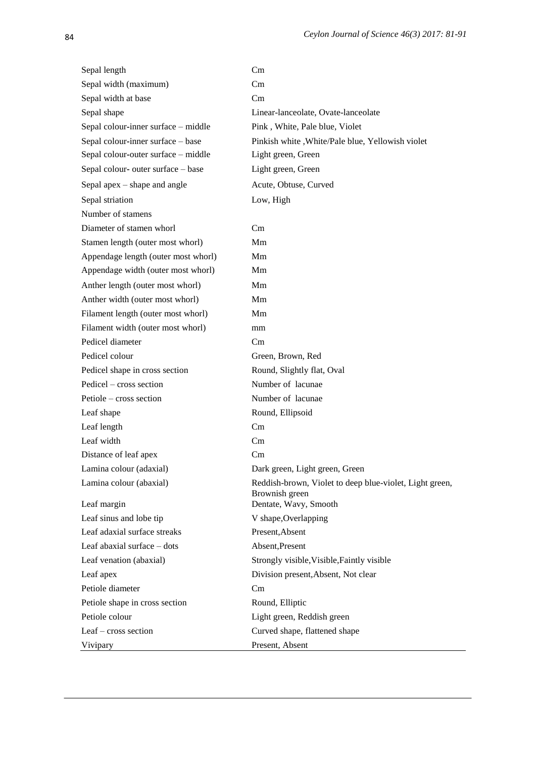| Sepal length                        | Cm                                                                        |  |  |
|-------------------------------------|---------------------------------------------------------------------------|--|--|
| Sepal width (maximum)               | Cm                                                                        |  |  |
| Sepal width at base                 | Cm                                                                        |  |  |
| Sepal shape                         | Linear-lanceolate, Ovate-lanceolate                                       |  |  |
| Sepal colour-inner surface - middle | Pink, White, Pale blue, Violet                                            |  |  |
| Sepal colour-inner surface - base   | Pinkish white, White/Pale blue, Yellowish violet                          |  |  |
| Sepal colour-outer surface - middle | Light green, Green                                                        |  |  |
| Sepal colour- outer surface - base  | Light green, Green                                                        |  |  |
| Sepal apex $-$ shape and angle      | Acute, Obtuse, Curved                                                     |  |  |
| Sepal striation                     | Low, High                                                                 |  |  |
| Number of stamens                   |                                                                           |  |  |
| Diameter of stamen whorl            | Cm                                                                        |  |  |
| Stamen length (outer most whorl)    | Mm                                                                        |  |  |
| Appendage length (outer most whorl) | Mm                                                                        |  |  |
| Appendage width (outer most whorl)  | Mm                                                                        |  |  |
| Anther length (outer most whorl)    | Mm                                                                        |  |  |
| Anther width (outer most whorl)     | Mm                                                                        |  |  |
| Filament length (outer most whorl)  | Mm                                                                        |  |  |
| Filament width (outer most whorl)   | mm                                                                        |  |  |
| Pedicel diameter                    | Cm                                                                        |  |  |
| Pedicel colour                      | Green, Brown, Red                                                         |  |  |
| Pedicel shape in cross section      | Round, Slightly flat, Oval                                                |  |  |
| Pedicel - cross section             | Number of lacunae                                                         |  |  |
| Petiole – cross section             | Number of lacunae                                                         |  |  |
| Leaf shape                          | Round, Ellipsoid                                                          |  |  |
| Leaf length                         | Cm                                                                        |  |  |
| Leaf width                          | Cm                                                                        |  |  |
| Distance of leaf apex               | Cm                                                                        |  |  |
| Lamina colour (adaxial)             | Dark green, Light green, Green                                            |  |  |
| Lamina colour (abaxial)             | Reddish-brown, Violet to deep blue-violet, Light green,<br>Brownish green |  |  |
| Leaf margin                         | Dentate, Wavy, Smooth                                                     |  |  |
| Leaf sinus and lobe tip             | V shape, Overlapping                                                      |  |  |
| Leaf adaxial surface streaks        | Present, Absent                                                           |  |  |
| Leaf abaxial surface - dots         | Absent, Present                                                           |  |  |
| Leaf venation (abaxial)             | Strongly visible, Visible, Faintly visible                                |  |  |
| Leaf apex                           | Division present, Absent, Not clear                                       |  |  |
| Petiole diameter                    | Cm                                                                        |  |  |
| Petiole shape in cross section      | Round, Elliptic                                                           |  |  |
| Petiole colour                      | Light green, Reddish green                                                |  |  |
| Leaf – cross section                | Curved shape, flattened shape                                             |  |  |
| Vivipary                            | Present, Absent                                                           |  |  |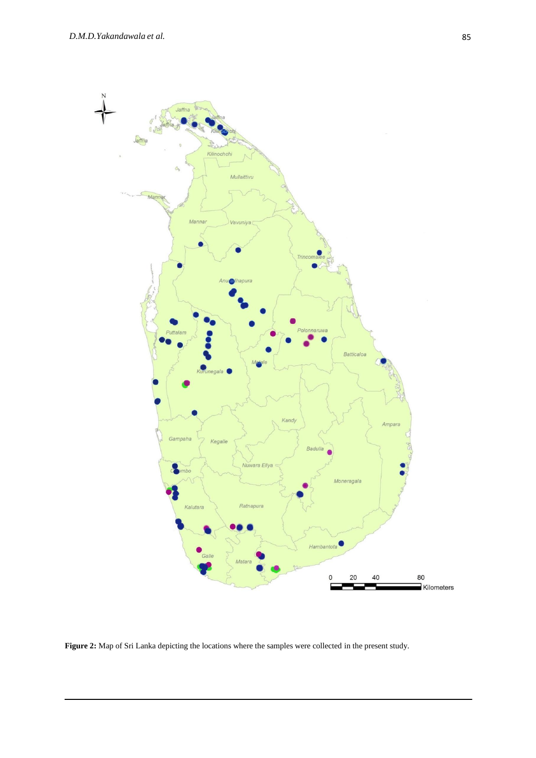

Figure 2: Map of Sri Lanka depicting the locations where the samples were collected in the present study.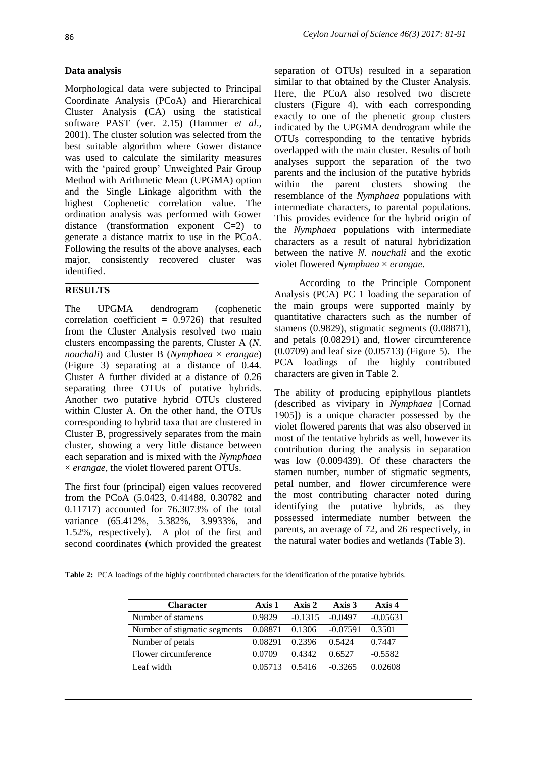### **Data analysis**

Morphological data were subjected to Principal Coordinate Analysis (PCoA) and Hierarchical Cluster Analysis (CA) using the statistical software PAST (ver. 2.15) (Hammer *et al*., 2001). The cluster solution was selected from the best suitable algorithm where Gower distance was used to calculate the similarity measures with the 'paired group' Unweighted Pair Group Method with Arithmetic Mean (UPGMA) option and the Single Linkage algorithm with the highest Cophenetic correlation value. The ordination analysis was performed with Gower distance (transformation exponent  $C=2$ ) to generate a distance matrix to use in the PCoA. Following the results of the above analyses, each major, consistently recovered cluster was identified.

# **RESULTS**

The UPGMA dendrogram (cophenetic correlation coefficient  $= 0.9726$ ) that resulted from the Cluster Analysis resolved two main clusters encompassing the parents, Cluster A (*N. nouchali*) and Cluster B (*Nymphaea* × *erangae*) (Figure 3) separating at a distance of 0.44. Cluster A further divided at a distance of 0.26 separating three OTUs of putative hybrids. Another two putative hybrid OTUs clustered within Cluster A. On the other hand, the OTUs corresponding to hybrid taxa that are clustered in Cluster B, progressively separates from the main cluster, showing a very little distance between each separation and is mixed with the *Nymphaea* × *erangae*, the violet flowered parent OTUs.

The first four (principal) eigen values recovered from the PCoA (5.0423, 0.41488, 0.30782 and 0.11717) accounted for 76.3073% of the total variance (65.412%, 5.382%, 3.9933%, and 1.52%, respectively). A plot of the first and second coordinates (which provided the greatest

separation of OTUs) resulted in a separation similar to that obtained by the Cluster Analysis. Here, the PCoA also resolved two discrete clusters (Figure 4), with each corresponding exactly to one of the phenetic group clusters indicated by the UPGMA dendrogram while the OTUs corresponding to the tentative hybrids overlapped with the main cluster. Results of both analyses support the separation of the two parents and the inclusion of the putative hybrids within the parent clusters showing the resemblance of the *Nymphaea* populations with intermediate characters, to parental populations. This provides evidence for the hybrid origin of the *Nymphaea* populations with intermediate characters as a result of natural hybridization between the native *N. nouchali* and the exotic violet flowered *Nymphaea* × *erangae*.

According to the Principle Component Analysis (PCA) PC 1 loading the separation of the main groups were supported mainly by quantitative characters such as the number of stamens (0.9829), stigmatic segments (0.08871), and petals (0.08291) and, flower circumference (0.0709) and leaf size (0.05713) (Figure 5). The PCA loadings of the highly contributed characters are given in Table 2.

The ability of producing epiphyllous plantlets (described as vivipary in *Nymphaea* [Cornad 1905]) is a unique character possessed by the violet flowered parents that was also observed in most of the tentative hybrids as well, however its contribution during the analysis in separation was low (0.009439). Of these characters the stamen number, number of stigmatic segments, petal number, and flower circumference were the most contributing character noted during identifying the putative hybrids, as they possessed intermediate number between the parents, an average of 72, and 26 respectively, in the natural water bodies and wetlands (Table 3).

**Table 2:** PCA loadings of the highly contributed characters for the identification of the putative hybrids.

| <b>Character</b>             | Axis 1  | $A$ xis 2 | Axis $3$   | Axis 4     |
|------------------------------|---------|-----------|------------|------------|
| Number of stamens            | 0.9829  | $-0.1315$ | $-0.0497$  | $-0.05631$ |
| Number of stigmatic segments | 0.08871 | 0.1306    | $-0.07591$ | 0.3501     |
| Number of petals             | 0.08291 | 0.2396    | 0.5424     | 0.7447     |
| Flower circumference         | 0.0709  | 0.4342    | 0.6527     | $-0.5582$  |
| Leaf width                   | 0.05713 | 0.5416    | $-0.3265$  | 0.02608    |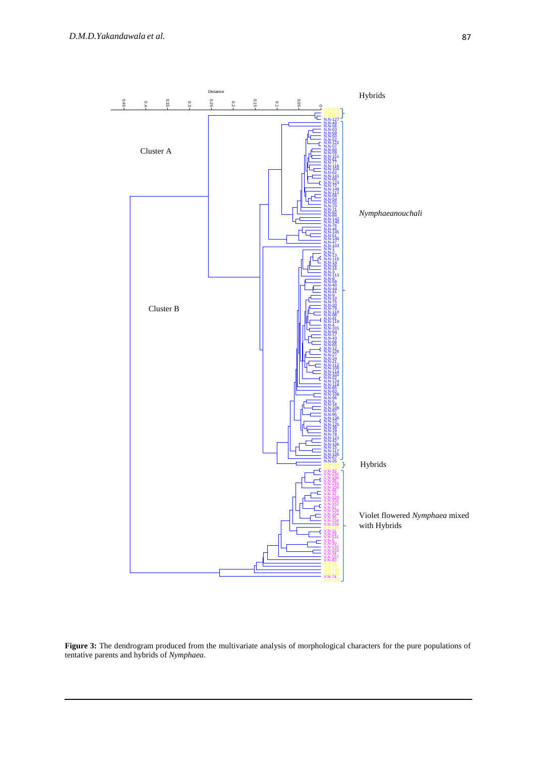

Figure 3: The dendrogram produced from the multivariate analysis of morphological characters for the pure populations of tentative parents and hybrids of *Nymphaea*.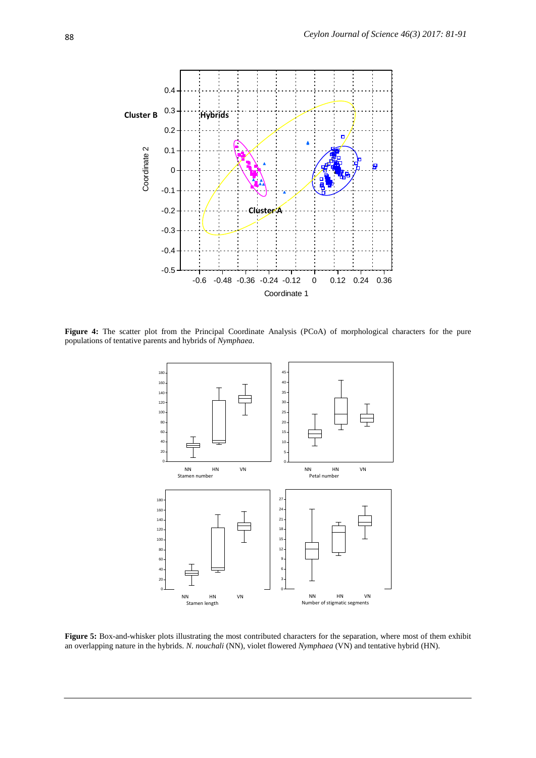

Figure 4: The scatter plot from the Principal Coordinate Analysis (PCoA) of morphological characters for the pure populations of tentative parents and hybrids of *Nymphaea*.



Figure 5: Box-and-whisker plots illustrating the most contributed characters for the separation, where most of them exhibit an overlapping nature in the hybrids. *N. nouchali* (NN), violet flowered *Nymphaea* (VN) and tentative hybrid (HN).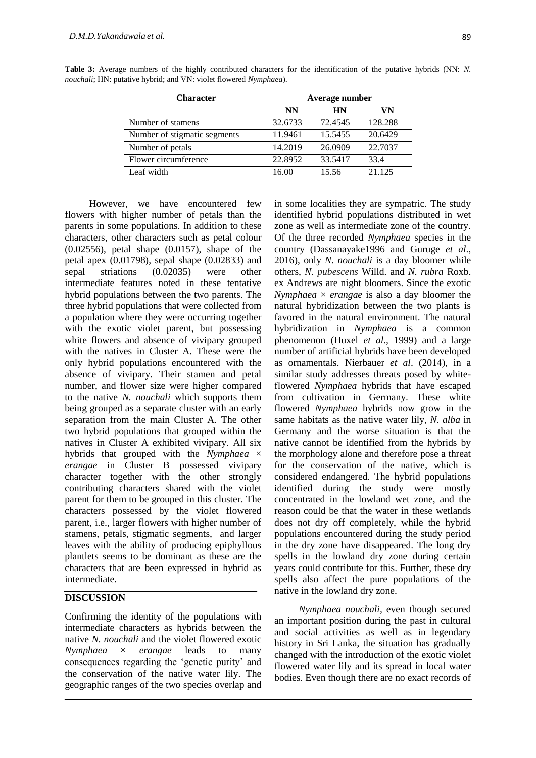| <b>Character</b>             | Average number |           |         |  |
|------------------------------|----------------|-----------|---------|--|
|                              | <b>NN</b>      | <b>HN</b> | VN      |  |
| Number of stamens            | 32.6733        | 72.4545   | 128.288 |  |
| Number of stigmatic segments | 11.9461        | 15.5455   | 20.6429 |  |
| Number of petals             | 14.2019        | 26.0909   | 22.7037 |  |
| Flower circumference         | 22.8952        | 33.5417   | 33.4    |  |
| Leaf width                   | 16.00          | 15.56     | 21.125  |  |

**Table 3:** Average numbers of the highly contributed characters for the identification of the putative hybrids (NN: *N. nouchali*; HN: putative hybrid; and VN: violet flowered *Nymphaea*).

However, we have encountered few flowers with higher number of petals than the parents in some populations. In addition to these characters, other characters such as petal colour (0.02556), petal shape (0.0157), shape of the petal apex (0.01798), sepal shape (0.02833) and sepal striations (0.02035) were other intermediate features noted in these tentative hybrid populations between the two parents. The three hybrid populations that were collected from a population where they were occurring together with the exotic violet parent, but possessing white flowers and absence of vivipary grouped with the natives in Cluster A. These were the only hybrid populations encountered with the absence of vivipary. Their stamen and petal number, and flower size were higher compared to the native *N. nouchali* which supports them being grouped as a separate cluster with an early separation from the main Cluster A*.* The other two hybrid populations that grouped within the natives in Cluster A exhibited vivipary. All six hybrids that grouped with the *Nymphaea* × *erangae* in Cluster B possessed vivipary character together with the other strongly contributing characters shared with the violet parent for them to be grouped in this cluster. The characters possessed by the violet flowered parent, i.e., larger flowers with higher number of stamens, petals, stigmatic segments, and larger leaves with the ability of producing epiphyllous plantlets seems to be dominant as these are the characters that are been expressed in hybrid as intermediate.

#### **DISCUSSION**

Confirming the identity of the populations with intermediate characters as hybrids between the native *N. nouchali* and the violet flowered exotic *Nymphaea* × *erangae* leads to many consequences regarding the 'genetic purity' and the conservation of the native water lily. The geographic ranges of the two species overlap and

in some localities they are sympatric. The study identified hybrid populations distributed in wet zone as well as intermediate zone of the country. Of the three recorded *Nymphaea* species in the country (Dassanayake1996 and Guruge *et al*., 2016), only *N. nouchali* is a day bloomer while others, *N. pubescens* Willd. and *N. rubra* Roxb. ex Andrews are night bloomers. Since the exotic *Nymphaea*  $\times$  *erangae* is also a day bloomer the natural hybridization between the two plants is favored in the natural environment. The natural hybridization in *Nymphaea* is a common phenomenon (Huxel *et al.,* 1999) and a large number of artificial hybrids have been developed as ornamentals. Nierbauer *et al*. (2014), in a similar study addresses threats posed by whiteflowered *Nymphaea* hybrids that have escaped from cultivation in Germany. These white flowered *Nymphaea* hybrids now grow in the same habitats as the native water lily, *N. alba* in Germany and the worse situation is that the native cannot be identified from the hybrids by the morphology alone and therefore pose a threat for the conservation of the native, which is considered endangered. The hybrid populations identified during the study were mostly concentrated in the lowland wet zone, and the reason could be that the water in these wetlands does not dry off completely, while the hybrid populations encountered during the study period in the dry zone have disappeared. The long dry spells in the lowland dry zone during certain years could contribute for this. Further, these dry spells also affect the pure populations of the native in the lowland dry zone.

*Nymphaea nouchali,* even though secured an important position during the past in cultural and social activities as well as in legendary history in Sri Lanka, the situation has gradually changed with the introduction of the exotic violet flowered water lily and its spread in local water bodies. Even though there are no exact records of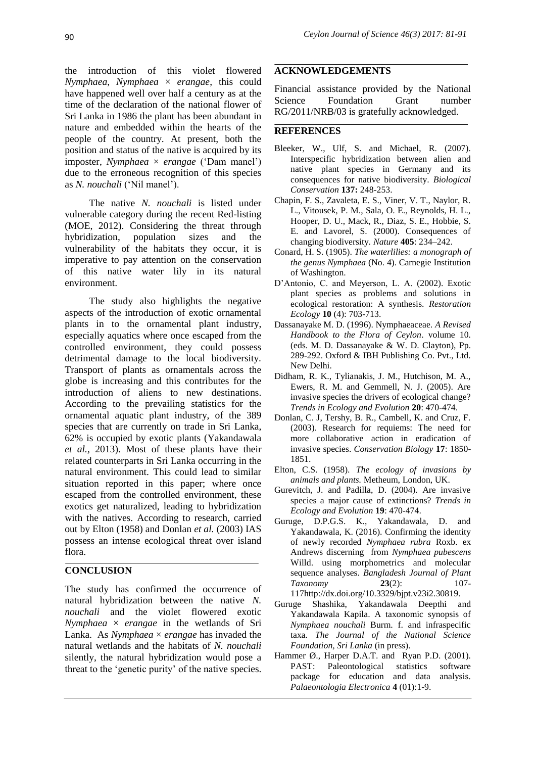the introduction of this violet flowered *Nymphaea*, *Nymphaea* × *erangae*, this could have happened well over half a century as at the time of the declaration of the national flower of Sri Lanka in 1986 the plant has been abundant in nature and embedded within the hearts of the people of the country. At present, both the position and status of the native is acquired by its imposter, *Nymphaea* × *erangae* ('Dam manel') due to the erroneous recognition of this species as *N. nouchali* ('Nil manel').

The native *N. nouchali* is listed under vulnerable category during the recent Red-listing (MOE, 2012). Considering the threat through hybridization, population sizes and the vulnerability of the habitats they occur, it is imperative to pay attention on the conservation of this native water lily in its natural environment.

The study also highlights the negative aspects of the introduction of exotic ornamental plants in to the ornamental plant industry, especially aquatics where once escaped from the controlled environment, they could possess detrimental damage to the local biodiversity. Transport of plants as ornamentals across the globe is increasing and this contributes for the introduction of aliens to new destinations. According to the prevailing statistics for the ornamental aquatic plant industry, of the 389 species that are currently on trade in Sri Lanka, 62% is occupied by exotic plants (Yakandawala *et al.,* 2013). Most of these plants have their related counterparts in Sri Lanka occurring in the natural environment. This could lead to similar situation reported in this paper; where once escaped from the controlled environment, these exotics get naturalized, leading to hybridization with the natives. According to research, carried out by Elton (1958) and Donlan *et al.* (2003) IAS possess an intense ecological threat over island flora.

## **CONCLUSION**

The study has confirmed the occurrence of natural hybridization between the native *N. nouchali* and the violet flowered exotic *Nymphaea* × *erangae* in the wetlands of Sri Lanka. As *Nymphaea* × *erangae* has invaded the natural wetlands and the habitats of *N. nouchali*  silently, the natural hybridization would pose a threat to the 'genetic purity' of the native species.

### **ACKNOWLEDGEMENTS**

Financial assistance provided by the National Science Foundation Grant number RG/2011/NRB/03 is gratefully acknowledged.

#### **REFERENCES**

- Bleeker, W., Ulf, S. and Michael, R. (2007). Interspecific hybridization between alien and native plant species in Germany and its consequences for native biodiversity. *Biological Conservation* **137:** 248-253.
- Chapin, F. S., Zavaleta, E. S., Viner, V. T., Naylor, R. L., Vitousek, P. M., Sala, O. E., Reynolds, H. L., Hooper, D. U., Mack, R., Diaz, S. E., Hobbie, S. E. and Lavorel, S. (2000). Consequences of changing biodiversity. *Nature* **405**: 234–242.
- Conard, H. S. (1905). *The waterlilies: a monograph of the genus Nymphaea* (No. 4). Carnegie Institution of Washington.
- D'Antonio, C. and Meyerson, L. A. (2002). Exotic plant species as problems and solutions in ecological restoration: A synthesis. *Restoration Ecology* **10** (4): 703-713.
- Dassanayake M. D. (1996). Nymphaeaceae. *A Revised Handbook to the Flora of Ceylon*. volume 10. (eds. M. D. Dassanayake & W. D. Clayton), Pp. 289-292. Oxford & IBH Publishing Co. Pvt., Ltd. New Delhi.
- Didham, R. K., Tylianakis, J. M., Hutchison, M. A., Ewers, R. M. and Gemmell, N. J. (2005). Are invasive species the drivers of ecological change? *Trends in Ecology and Evolution* **20**: 470-474.
- Donlan, C. J, Tershy, B. R., Cambell, K. and Cruz, F. (2003). Research for requiems: The need for more collaborative action in eradication of invasive species. *Conservation Biology* **17**: 1850- 1851.
- Elton, C.S. (1958). *The ecology of invasions by animals and plants.* Metheum, London, UK.
- Gurevitch, J. and Padilla, D. (2004). Are invasive species a major cause of extinctions? *Trends in Ecology and Evolution* **19**: 470-474.
- Guruge, D.P.G.S. K., Yakandawala, D. and Yakandawala, K. (2016). Confirming the identity of newly recorded *Nymphaea rubra* Roxb. ex Andrews discerning from *Nymphaea pubescens*  Willd. using morphometrics and molecular sequence analyses. *Bangladesh Journal of Plant Taxonomy* **23**(2): 107- 11[7http://dx.doi.org/10.3329/bjpt.v23i2.30819.](http://dx.doi.org/10.3329/bjpt.v23i2.30819)
- Guruge Shashika, Yakandawala Deepthi and Yakandawala Kapila. A taxonomic synopsis of *Nymphaea nouchali* Burm. f. and infraspecific taxa. *The Journal of the National Science Foundation, Sri Lanka* (in press).
- Hammer  $\emptyset$ ., Harper D.A.T. and Ryan P.D. (2001). PAST: Paleontological statistics software package for education and data analysis. *Palaeontologia Electronica* **4** (01):1-9.